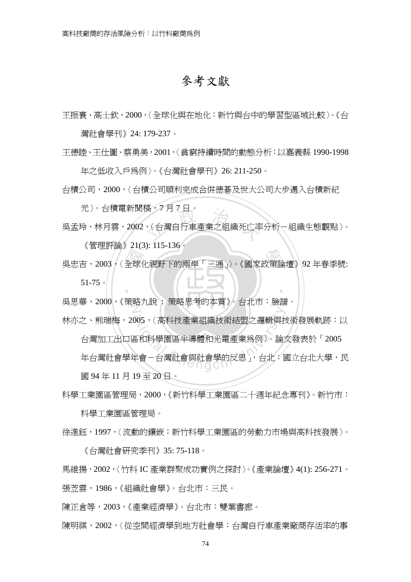## 參考文獻

王振寰、高士欽,2000,〈全球化與在地化:新竹與台中的學習型區域比較〉。《台

灣社會學刊》24: 179-237。

王德睦、王仕圖、蔡勇美,2001,〈貧窮持續時間的動態分析:以嘉義縣 1990-1998

年之低收入戶為例〉。《台灣社會學刊》26: 211-250。

台積公司,2000,〈台積公司順利完成合併德碁及世大公司大步邁入台積新紀

元〉。台積電新聞稿,7 月 7 日。

尚,/ 月 / 日。<br>,〈台灣自行車產業之組織死亡率 吳孟玲、林月雲,2002,〈台灣自行車產業之組織死亡率分析-組織生態觀點〉。

《管理評論》21(3): 115-136。

、ロエロ … / コンの 12 12 12:00:00 0000 / 公開<br>男忠吉, 2003,〈全球化視野下的兩岸「三通」〉。《國家政策論壇》92 年春季號:<br>コロサ 2000 / 公開 1.50 . 公開 日本的大學 》 ‧ 51-75。

N 吳思華,2000,《策略九說 : 策略思考的本質》。台北市:臉譜。

林亦之、熊瑞梅,2005,〈高科技產業組織技術結盟之邏輯與技術發展軌跡:以

台灣加工出口區和科學園區半導體和光電產業為例〉。論文發表於「2005

105,〈高科技產業組織技術結盟之邏輯與技<br><br><br>在和科學園區半導體和光電產業爲例〉。論<br><br>年會-台灣社會與社會學的反思」,台北: 年台灣社會學在會一台灣社會學的反思」,台北:國立台北大學,民 國 94 年 11 月 19 至 20 日。

科學工業園區管理局,2000,《新竹科學工業園區二十週年紀念專刊》。新竹市:

科學工業園區管理局。

徐進鈺,1997,〈流動的鑲嵌:新竹科學工業園區的勞動力市場與高科技發展〉。

《台灣社會研究季刊》35: 75-118。

馬維揚,2002,〈竹科 IC 產業群聚成功實例之探討〉。《產業論壇》4(1): 256-271。 張苙雲,1986,《組織社會學》。台北市:三民。

陳正倉等,2003,《產業經濟學》。台北市:雙葉書廊。

陳明祺,2002,〈從空間經濟學到地方社會學:台灣自行車產業廠商存活率的事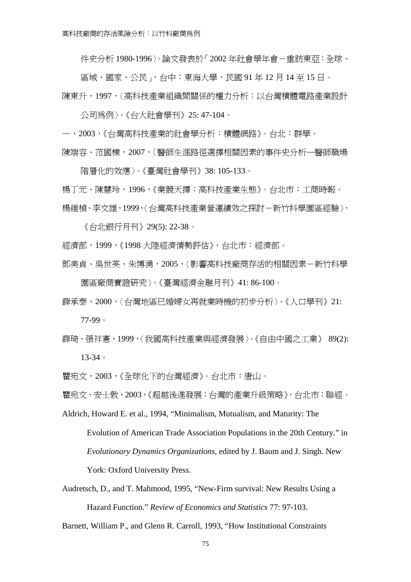件史分析 1980-1996〉。論文發表於「2002 年社會學年會-重訪東亞:全球、

區域、國家、公民」,台中:東海大學,民國 91 年 12 月 14 至 15 日。 陳東升,1997,〈高科技產業組織間關係的權力分析:以台灣積體電路產業設計

公司為例〉。《台大社會學刊》25: 47-104。

—,2003,《台灣高科技產業的社會學分析:積體網路》。台北:群學。

陳端容、范國棟,2007,〈醫師生涯路徑選擇相關因素的事件史分析─醫師職場

階層化的效應〉。《臺灣社會學刊》38: 105-133。

楊丁元、陳慧玲,1996,《業競天擇:高科技產業生態》。台北市:工商時報。 楊維楨、李文雄,1999,〈台灣高科技產業營運績效之探討-新竹科學園區經驗〉,

《台北銀行月刊》29(5): 22-38。

- 經濟部,1999,《1998 大陸經濟情勢評估》,台北市:經濟部。
- 鄧美貞、吳世英、朱博湧,2005,〈影響高科技廠商存活的相關因素-新竹科學 園區廠商實證研究〉。《臺灣經濟金融月刊》41: 86-100。
- 薛承泰,2000,〈台灣地區已婚婦女再就業時機的初步分析〉。《人口學刊》21: 77-99。
- 薛琦、張祥憲,1999,〈我國高科技產業與經濟發展〉。《自由中國之工業》 89(2): 13-34。

瞿宛文,2003,《全球化下的台灣經濟》。台北市:唐山。

瞿宛文、安士敦,2003,《超越後進發展:台灣的產業升級策略》,台北市:聯經。

- Aldrich, Howard E. et al., 1994, "Minimalism, Mutualism, and Maturity: The Evolution of American Trade Association Populations in the 20th Century." in *Evolutionary Dynamics Organizations*, edited by J. Baum and J. Singh. New York: Oxford University Press.
- Audretsch, D., and T. Mahmood, 1995, "New-Firm survival: New Results Using a Hazard Function." *Review of Economics and Statistics* 77: 97-103.

Barnett, William P., and Glenn R. Carroll, 1993, "How Institutional Constraints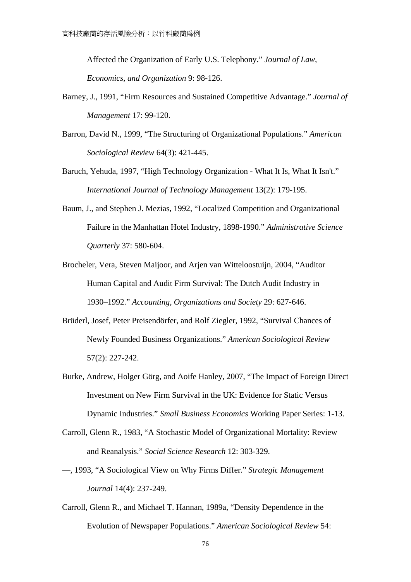Affected the Organization of Early U.S. Telephony." *Journal of Law, Economics, and Organization* 9: 98-126.

- Barney, J., 1991, "Firm Resources and Sustained Competitive Advantage." *Journal of Management* 17: 99-120.
- Barron, David N., 1999, "The Structuring of Organizational Populations." *American Sociological Review* 64(3): 421-445.
- Baruch, Yehuda, 1997, "High Technology Organization What It Is, What It Isn't." *International Journal of Technology Management* 13(2): 179-195.
- Baum, J., and Stephen J. Mezias, 1992, "Localized Competition and Organizational Failure in the Manhattan Hotel Industry, 1898-1990." *Administrative Science Quarterly* 37: 580-604.
- Brocheler, Vera, Steven Maijoor, and Arjen van Witteloostuijn, 2004, "Auditor Human Capital and Audit Firm Survival: The Dutch Audit Industry in 1930–1992." *Accounting, Organizations and Society* 29: 627-646.
- Brüderl, Josef, Peter Preisendörfer, and Rolf Ziegler, 1992, "Survival Chances of Newly Founded Business Organizations." *American Sociological Review* 57(2): 227-242.
- Burke, Andrew, Holger Görg, and Aoife Hanley, 2007, "The Impact of Foreign Direct Investment on New Firm Survival in the UK: Evidence for Static Versus Dynamic Industries." *Small Business Economics* Working Paper Series: 1-13.
- Carroll, Glenn R., 1983, "A Stochastic Model of Organizational Mortality: Review and Reanalysis." *Social Science Research* 12: 303-329.
- —, 1993, "A Sociological View on Why Firms Differ." *Strategic Management Journal* 14(4): 237-249.
- Carroll, Glenn R., and Michael T. Hannan, 1989a, "Density Dependence in the Evolution of Newspaper Populations." *American Sociological Review* 54: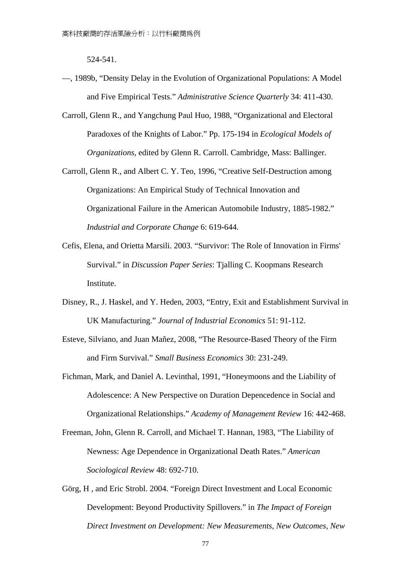524-541.

- —, 1989b, "Density Delay in the Evolution of Organizational Populations: A Model and Five Empirical Tests." *Administrative Science Quarterly* 34: 411-430.
- Carroll, Glenn R., and Yangchung Paul Huo, 1988, "Organizational and Electoral Paradoxes of the Knights of Labor." Pp. 175-194 in *Ecological Models of Organizations*, edited by Glenn R. Carroll. Cambridge, Mass: Ballinger.
- Carroll, Glenn R., and Albert C. Y. Teo, 1996, "Creative Self-Destruction among Organizations: An Empirical Study of Technical Innovation and Organizational Failure in the American Automobile Industry, 1885-1982." *Industrial and Corporate Change* 6: 619-644.
- Cefis, Elena, and Orietta Marsili. 2003. "Survivor: The Role of Innovation in Firms' Survival." in *Discussion Paper Series*: Tjalling C. Koopmans Research Institute.
- Disney, R., J. Haskel, and Y. Heden, 2003, "Entry, Exit and Establishment Survival in UK Manufacturing." *Journal of Industrial Economics* 51: 91-112.
- Esteve, Silviano, and Juan Mañez, 2008, "The Resource-Based Theory of the Firm and Firm Survival." *Small Business Economics* 30: 231-249.
- Fichman, Mark, and Daniel A. Levinthal, 1991, "Honeymoons and the Liability of Adolescence: A New Perspective on Duration Depencedence in Social and Organizational Relationships." *Academy of Management Review* 16: 442-468.
- Freeman, John, Glenn R. Carroll, and Michael T. Hannan, 1983, "The Liability of Newness: Age Dependence in Organizational Death Rates." *American Sociological Review* 48: 692-710.
- Görg, H , and Eric Strobl. 2004. "Foreign Direct Investment and Local Economic Development: Beyond Productivity Spillovers." in *The Impact of Foreign Direct Investment on Development: New Measurements, New Outcomes, New*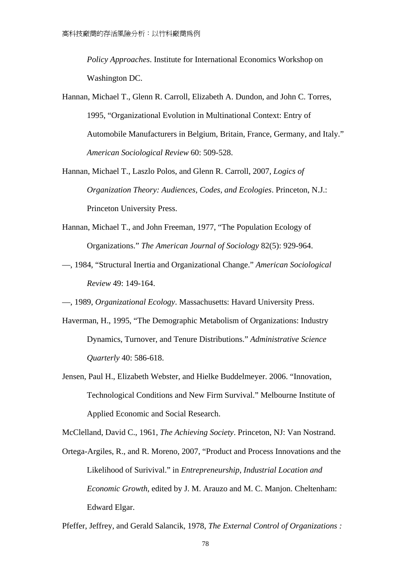*Policy Approaches*. Institute for International Economics Workshop on Washington DC.

- Hannan, Michael T., Glenn R. Carroll, Elizabeth A. Dundon, and John C. Torres, 1995, "Organizational Evolution in Multinational Context: Entry of Automobile Manufacturers in Belgium, Britain, France, Germany, and Italy." *American Sociological Review* 60: 509-528.
- Hannan, Michael T., Laszlo Polos, and Glenn R. Carroll, 2007, *Logics of Organization Theory: Audiences, Codes, and Ecologies*. Princeton, N.J.: Princeton University Press.
- Hannan, Michael T., and John Freeman, 1977, "The Population Ecology of Organizations." *The American Journal of Sociology* 82(5): 929-964.
- —, 1984, "Structural Inertia and Organizational Change." *American Sociological Review* 49: 149-164.
- —, 1989, *Organizational Ecology*. Massachusetts: Havard University Press.
- Haverman, H., 1995, "The Demographic Metabolism of Organizations: Industry Dynamics, Turnover, and Tenure Distributions." *Administrative Science Quarterly* 40: 586-618.
- Jensen, Paul H., Elizabeth Webster, and Hielke Buddelmeyer. 2006. "Innovation, Technological Conditions and New Firm Survival." Melbourne Institute of Applied Economic and Social Research.

McClelland, David C., 1961, *The Achieving Society*. Princeton, NJ: Van Nostrand.

- Ortega-Argiles, R., and R. Moreno, 2007, "Product and Process Innovations and the Likelihood of Surivival." in *Entrepreneurship, Industrial Location and Economic Growth*, edited by J. M. Arauzo and M. C. Manjon. Cheltenham: Edward Elgar.
- Pfeffer, Jeffrey, and Gerald Salancik, 1978, *The External Control of Organizations :*